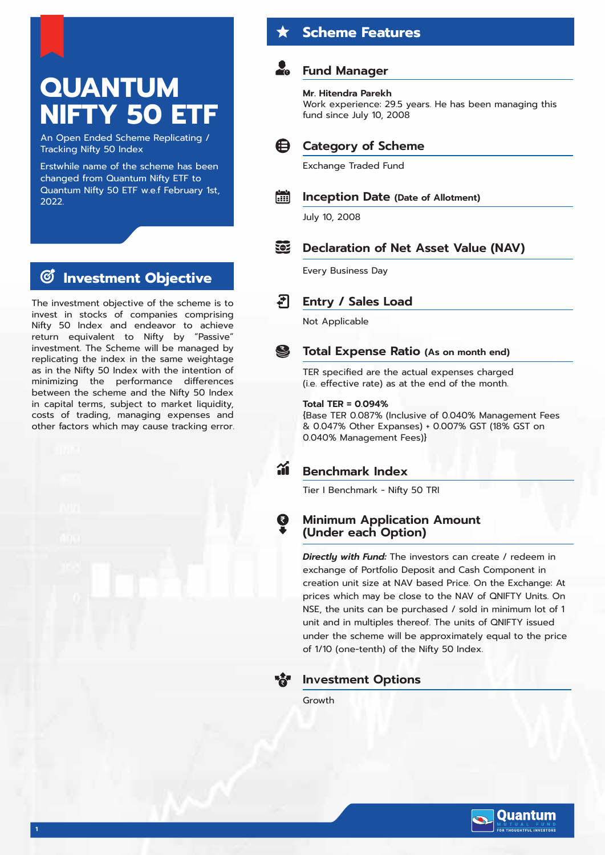# **QUANTUM NIFTY 50 ET**

An Open Ended Scheme Replicating / Tracking Nifty 50 Index

Erstwhile name of the scheme has been changed from Quantum Nifty ETF to Quantum Nifty 50 ETF w.e.f February 1st, 2022.

# **Investment Objective**

The investment objective of the scheme is to invest in stocks of companies comprising Nifty 50 Index and endeavor to achieve return equivalent to Nifty by "Passive" investment. The Scheme will be managed by replicating the index in the same weightage as in the Nifty 50 Index with the intention of minimizing the performance differences between the scheme and the Nifty 50 Index in capital terms, subject to market liquidity, costs of trading, managing expenses and other factors which may cause tracking error.

# **Scheme Features**

# **Fund Manager**

## **Mr. Hitendra Parekh**

Work experience: 29.5 years. He has been managing this fund since July 10, 2008

### 6∋ **Category of Scheme**

Exchange Traded Fund

#### **Fiil Inception Date (Date of Allotment)**

July 10, 2008

### EOZ **Declaration of Net Asset Value (NAV)**

Every Business Day

### न **Entry / Sales Load**

Not Applicable

### S **Total Expense Ratio (As on month end)**

TER specified are the actual expenses charged (i.e. effective rate) as at the end of the month.

## **Total TER = 0.094%**

{Base TER 0.087% (Inclusive of 0.040% Management Fees & 0.047% Other Expanses) + 0.007% GST (18% GST on 0.040% Management Fees)}

### áí **Benchmark Index**

Tier I Benchmark - Nifty 50 TRI

## **Minimum Application Amount (Under each Option)**

*Directly with Fund:* The investors can create / redeem in exchange of Portfolio Deposit and Cash Component in creation unit size at NAV based Price. On the Exchange: At prices which may be close to the NAV of QNIFTY Units. On NSE, the units can be purchased / sold in minimum lot of 1 unit and in multiples thereof. The units of QNIFTY issued under the scheme will be approximately equal to the price of 1/10 (one-tenth) of the Nifty 50 Index.



## **Investment Options**

Growth

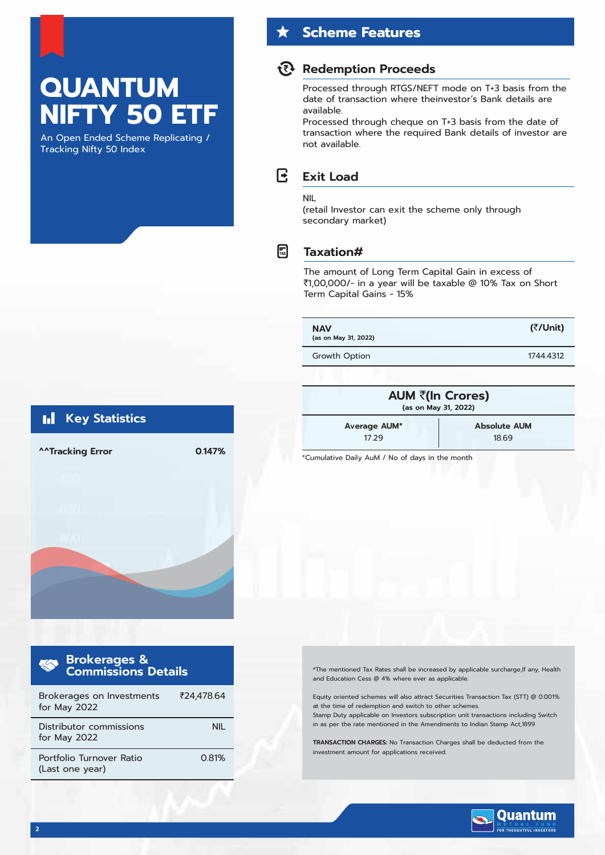# **QUANTUM NIFTY 50 ET**

An Open Ended Scheme Replicating / Tracking Nifty 50 Index

## **Scheme Features**

## **Redemption Proceeds**

Processed through RTGS/NEFT mode on T+3 basis from the date of transaction where theinvestor's Bank details are available.

Processed through cheque on T+3 basis from the date of transaction where the required Bank details of investor are not available.

### R **Exit Load**

### NIL

(retail Investor can exit the scheme only through secondary market)

## $\bigcap_{\text{TAX}}$

## **Taxation#**

The amount of Long Term Capital Gain in excess of `1,00,000/- in a year will be taxable @ 10% Tax on Short Term Capital Gains - 15%

**NAV (as on May 31, 2022)**

Growth Option 1744.4312

**(**`**/Unit)**





| <b>Brokerages &amp;<br/>Commissions Details</b> |            |  |  |  |
|-------------------------------------------------|------------|--|--|--|
| Brokerages on Investments<br>for May 2022       | ₹24.478.64 |  |  |  |
| Distributor commissions<br>for May 2022         | NII.       |  |  |  |
| Portfolio Turnover Ratio<br>(Last one year)     | 0.81%      |  |  |  |

#The mentioned Tax Rates shall be increased by applicable surcharge,If any, Health and Education Cess @ 4% where ever as applicable

Equity oriented schemes will also attract Securities Transaction Tax (STT) @ 0.001% at the time of redemption and switch to other schemes Stamp Duty applicable on Investors subscription unit transactions including Switch in as per the rate mentioned in the Amendments to Indian Stamp Act,1899

**TRANSACTION CHARGES:** No Transaction Charges shall be deducted from the investment amount for applications received.



### **Key Statistics**  Ы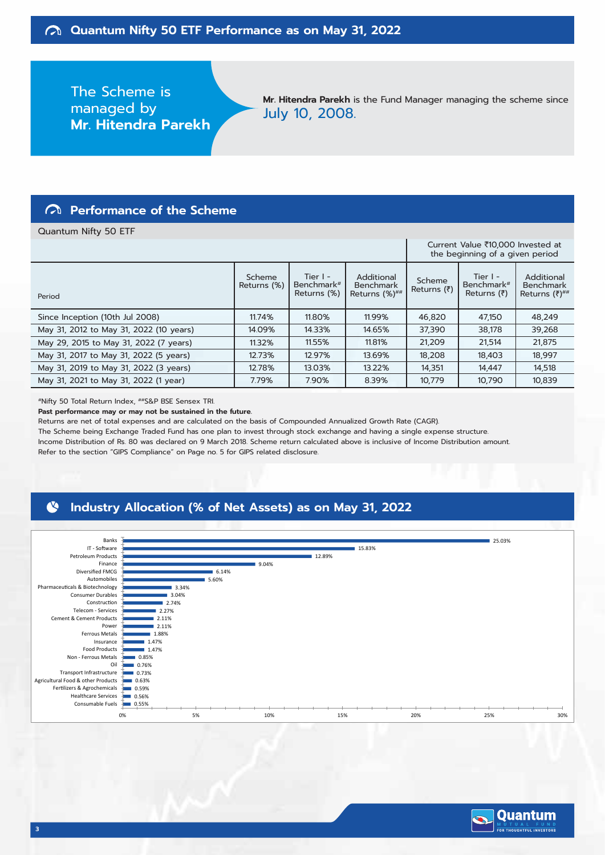The Scheme is managed by **Mr. Hitendra Parekh**

**Mr. Hitendra Parekh** is the Fund Manager managing the scheme since July 10, 2008.

## **Performance of the Scheme**

### Quantum Nifty 50 ETF

|                                         |                       |                                                     | Current Value ₹10,000 Invested at<br>the beginning of a given period |                       |                                                             |                                                      |
|-----------------------------------------|-----------------------|-----------------------------------------------------|----------------------------------------------------------------------|-----------------------|-------------------------------------------------------------|------------------------------------------------------|
| Period                                  | Scheme<br>Returns (%) | Tier $I -$<br>Benchmark <sup>#</sup><br>Returns (%) | Additional<br><b>Benchmark</b><br>Returns (%)##                      | Scheme<br>Returns (₹) | Tier $I -$<br>Benchmark <sup>#</sup><br>Returns $(\bar{z})$ | Additional<br><b>Benchmark</b><br>Returns $(7)^{#H}$ |
| Since Inception (10th Jul 2008)         | 11.74%                | 11.80%                                              | 11.99%                                                               | 46,820                | 47.150                                                      | 48,249                                               |
| May 31, 2012 to May 31, 2022 (10 years) | 14.09%                | 14.33%                                              | 14.65%                                                               | 37.390                | 38,178                                                      | 39,268                                               |
| May 29, 2015 to May 31, 2022 (7 years)  | 11.32%                | 11.55%                                              | 11.81%                                                               | 21,209                | 21,514                                                      | 21,875                                               |
| May 31, 2017 to May 31, 2022 (5 years)  | 12.73%                | 12.97%                                              | 13.69%                                                               | 18.208                | 18.403                                                      | 18.997                                               |
| May 31, 2019 to May 31, 2022 (3 years)  | 12.78%                | 13.03%                                              | 13.22%                                                               | 14,351                | 14,447                                                      | 14,518                                               |
| May 31, 2021 to May 31, 2022 (1 year)   | 7.79%                 | 7.90%                                               | 8.39%                                                                | 10,779                | 10,790                                                      | 10,839                                               |

#Nifty 50 Total Return Index, ##S&P BSE Sensex TRI.

**Past performance may or may not be sustained in the future.**

Returns are net of total expenses and are calculated on the basis of Compounded Annualized Growth Rate (CAGR).

The Scheme being Exchange Traded Fund has one plan to invest through stock exchange and having a single expense structure. Income Distribution of Rs. 80 was declared on 9 March 2018. Scheme return calculated above is inclusive of Income Distribution amount. Refer to the section "GIPS Compliance" on Page no. 5 for GIPS related disclosure.

### N **Industry Allocation (% of Net Assets) as on May 31, 2022**



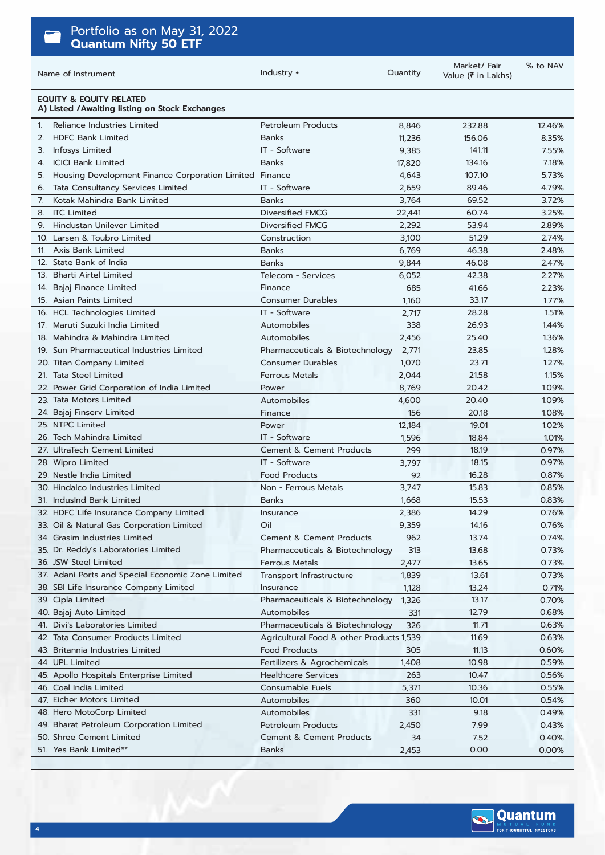| Portfolio as on May 31, 2022<br><b>Quantum Nifty 50 ETF</b>                           |                                          |          |                                   |          |
|---------------------------------------------------------------------------------------|------------------------------------------|----------|-----------------------------------|----------|
| Name of Instrument                                                                    | Industry +                               | Quantity | Market/Fair<br>Value (₹ in Lakhs) | % to NAV |
| <b>EQUITY &amp; EQUITY RELATED</b><br>A) Listed / Awaiting listing on Stock Exchanges |                                          |          |                                   |          |
| Reliance Industries Limited<br>1.                                                     | <b>Petroleum Products</b>                | 8,846    | 232.88                            | 12.46%   |
| <b>HDFC Bank Limited</b><br>2.                                                        | <b>Banks</b>                             | 11,236   | 156.06                            | 8.35%    |
| Infosys Limited<br>3.                                                                 | IT - Software                            | 9,385    | 141.11                            | 7.55%    |
| <b>ICICI Bank Limited</b><br>4.                                                       | <b>Banks</b>                             | 17,820   | 134.16                            | 7.18%    |
| Housing Development Finance Corporation Limited Finance<br>5.                         |                                          | 4,643    | 107.10                            | 5.73%    |
| Tata Consultancy Services Limited<br>6.                                               | IT - Software                            | 2,659    | 89.46                             | 4.79%    |
| Kotak Mahindra Bank Limited<br>7.                                                     | <b>Banks</b>                             | 3,764    | 69.52                             | 3.72%    |
| <b>ITC Limited</b><br>8.                                                              | Diversified FMCG                         | 22,441   | 60.74                             | 3.25%    |
| Hindustan Unilever Limited<br>9.                                                      | Diversified FMCG                         | 2,292    | 53.94                             | 2.89%    |
| 10. Larsen & Toubro Limited                                                           | Construction                             | 3,100    | 51.29                             | 2.74%    |
| 11. Axis Bank Limited                                                                 | <b>Banks</b>                             | 6,769    | 46.38                             | 2.48%    |
| 12. State Bank of India                                                               | <b>Banks</b>                             | 9,844    | 46.08                             | 2.47%    |
| 13. Bharti Airtel Limited                                                             | Telecom - Services                       | 6,052    | 42.38                             | 2.27%    |
| 14. Bajaj Finance Limited                                                             | Finance                                  | 685      | 41.66                             | 2.23%    |
| 15. Asian Paints Limited                                                              | <b>Consumer Durables</b>                 | 1,160    | 33.17                             | 1.77%    |
| 16. HCL Technologies Limited                                                          | IT - Software                            | 2,717    | 28.28                             | 1.51%    |
| 17. Maruti Suzuki India Limited                                                       | Automobiles                              | 338      | 26.93                             | 1.44%    |
| Mahindra & Mahindra Limited<br>18.                                                    | Automobiles                              | 2,456    | 25.40                             | 1.36%    |
| 19. Sun Pharmaceutical Industries Limited                                             | Pharmaceuticals & Biotechnology          | 2,771    | 23.85                             | 1.28%    |
| 20. Titan Company Limited                                                             | <b>Consumer Durables</b>                 | 1,070    | 23.71                             | 1.27%    |
| 21. Tata Steel Limited                                                                | <b>Ferrous Metals</b>                    | 2,044    | 21.58                             | 1.15%    |
| 22. Power Grid Corporation of India Limited                                           | Power                                    | 8,769    | 20.42                             | 1.09%    |
| 23. Tata Motors Limited                                                               | Automobiles                              | 4,600    | 20.40                             | 1.09%    |
| 24. Bajaj Finserv Limited                                                             | Finance                                  | 156      | 20.18                             | 1.08%    |
| 25. NTPC Limited                                                                      | Power                                    | 12,184   | 19.01                             | 1.02%    |
| 26. Tech Mahindra Limited                                                             | IT - Software                            | 1,596    | 18.84                             | 1.01%    |
| 27. UltraTech Cement Limited                                                          | <b>Cement &amp; Cement Products</b>      | 299      | 18.19                             | 0.97%    |
| 28. Wipro Limited                                                                     | IT - Software                            | 3,797    | 18.15                             | 0.97%    |
| 29. Nestle India Limited                                                              | <b>Food Products</b>                     | 92       | 16.28                             | 0.87%    |
| 30. Hindalco Industries Limited                                                       | Non - Ferrous Metals                     | 3,747    | 15.83                             | 0.85%    |
| 31. IndusInd Bank Limited                                                             | Banks                                    | 1,668    | 15.53                             | 0.83%    |
| 32. HDFC Life Insurance Company Limited                                               | Insurance                                | 2,386    | 14.29                             | 0.76%    |
| 33. Oil & Natural Gas Corporation Limited                                             | Oil                                      | 9,359    | 14.16                             | 0.76%    |
| 34. Grasim Industries Limited                                                         | Cement & Cement Products                 | 962      | 13.74                             | 0.74%    |
| 35. Dr. Reddy's Laboratories Limited                                                  | Pharmaceuticals & Biotechnology          | 313      | 13.68                             | 0.73%    |
| 36. JSW Steel Limited                                                                 | <b>Ferrous Metals</b>                    | 2,477    | 13.65                             | 0.73%    |
| 37. Adani Ports and Special Economic Zone Limited                                     | Transport Infrastructure                 | 1,839    | 13.61                             | 0.73%    |
| 38. SBI Life Insurance Company Limited                                                | Insurance                                | 1,128    | 13.24                             | 0.71%    |
| 39. Cipla Limited                                                                     | Pharmaceuticals & Biotechnology          | 1,326    | 13.17                             | 0.70%    |
| 40. Bajaj Auto Limited                                                                | Automobiles                              | 331      | 12.79                             | 0.68%    |
| 41. Divi's Laboratories Limited                                                       | Pharmaceuticals & Biotechnology          | 326      | 11.71                             | 0.63%    |
| 42. Tata Consumer Products Limited                                                    | Agricultural Food & other Products 1,539 |          | 11.69                             | 0.63%    |
| 43. Britannia Industries Limited                                                      | <b>Food Products</b>                     | 305      | 11.13                             | 0.60%    |
| 44. UPL Limited                                                                       | Fertilizers & Agrochemicals              | 1,408    | 10.98                             | 0.59%    |
| 45. Apollo Hospitals Enterprise Limited                                               | <b>Healthcare Services</b>               | 263      | 10.47                             | 0.56%    |
| 46. Coal India Limited                                                                | Consumable Fuels                         | 5,371    | 10.36                             | 0.55%    |
| 47. Eicher Motors Limited                                                             | Automobiles                              | 360      | 10.01                             | 0.54%    |
| 48. Hero MotoCorp Limited                                                             | Automobiles                              | 331      | 9.18                              | 0.49%    |
| 49. Bharat Petroleum Corporation Limited                                              | <b>Petroleum Products</b>                | 2,450    | 7.99                              | 0.43%    |
| 50. Shree Cement Limited                                                              | Cement & Cement Products                 | 34       | 7.52                              | 0.40%    |
| 51. Yes Bank Limited**                                                                | <b>Banks</b>                             | 2,453    | 0.00                              | 0.00%    |